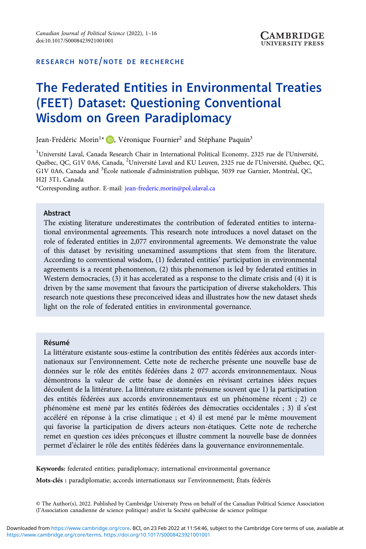## RESEARCH NOTE/NOTE DE RECHERCHE

# The Federated Entities in Environmental Treaties (FEET) Dataset: Questioning Conventional Wisdom on Green Paradiplomacy

Jean-Frédéric Morin<sup>1\*</sup> D, Véronique Fournier<sup>2</sup> and Stéphane Paquin<sup>3</sup>

<sup>1</sup>Université Laval, Canada Research Chair in International Political Economy, 2325 rue de l'Université Québec, QC, G1V 0A6, Canada, <sup>2</sup>Université Laval and KU Leuven, 2325 rue de l'Université, Québec, QC, G1V 0A6, Canada and <sup>3</sup>École nationale d'administration publique, 5039 rue Garnier, Montréal, QC, H2J 3T1, Canada

\*Corresponding author. E-mail: [jean-frederic.morin@pol.ulaval.ca](mailto:jean-frederic.morin@pol.ulaval.ca)

#### Abstract

The existing literature underestimates the contribution of federated entities to international environmental agreements. This research note introduces a novel dataset on the role of federated entities in 2,077 environmental agreements. We demonstrate the value of this dataset by revisiting unexamined assumptions that stem from the literature. According to conventional wisdom, (1) federated entities' participation in environmental agreements is a recent phenomenon, (2) this phenomenon is led by federated entities in Western democracies, (3) it has accelerated as a response to the climate crisis and (4) it is driven by the same movement that favours the participation of diverse stakeholders. This research note questions these preconceived ideas and illustrates how the new dataset sheds light on the role of federated entities in environmental governance.

#### Résumé

La littérature existante sous-estime la contribution des entités fédérées aux accords internationaux sur l'environnement. Cette note de recherche présente une nouvelle base de données sur le rôle des entités fédérées dans 2 077 accords environnementaux. Nous démontrons la valeur de cette base de données en révisant certaines idées reçues découlent de la littérature. La littérature existante présume souvent que 1) la participation des entités fédérées aux accords environnementaux est un phénomène récent ; 2) ce phénomène est mené par les entités fédérées des démocraties occidentales ; 3) il s'est accéléré en réponse à la crise climatique ; et 4) il est mené par le même mouvement qui favorise la participation de divers acteurs non-étatiques. Cette note de recherche remet en question ces idées préconçues et illustre comment la nouvelle base de données permet d'éclairer le rôle des entités fédérées dans la gouvernance environnementale.

Keywords: federated entities; paradiplomacy; international environmental governance

Mots-clés : paradiplomatie; accords internationaux sur l'environnement; États fédérés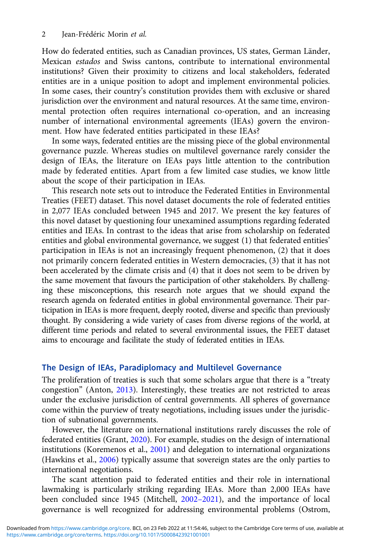How do federated entities, such as Canadian provinces, US states, German Länder, Mexican estados and Swiss cantons, contribute to international environmental institutions? Given their proximity to citizens and local stakeholders, federated entities are in a unique position to adopt and implement environmental policies. In some cases, their country's constitution provides them with exclusive or shared jurisdiction over the environment and natural resources. At the same time, environmental protection often requires international co-operation, and an increasing number of international environmental agreements (IEAs) govern the environment. How have federated entities participated in these IEAs?

In some ways, federated entities are the missing piece of the global environmental governance puzzle. Whereas studies on multilevel governance rarely consider the design of IEAs, the literature on IEAs pays little attention to the contribution made by federated entities. Apart from a few limited case studies, we know little about the scope of their participation in IEAs.

This research note sets out to introduce the Federated Entities in Environmental Treaties (FEET) dataset. This novel dataset documents the role of federated entities in 2,077 IEAs concluded between 1945 and 2017. We present the key features of this novel dataset by questioning four unexamined assumptions regarding federated entities and IEAs. In contrast to the ideas that arise from scholarship on federated entities and global environmental governance, we suggest (1) that federated entities' participation in IEAs is not an increasingly frequent phenomenon, (2) that it does not primarily concern federated entities in Western democracies, (3) that it has not been accelerated by the climate crisis and (4) that it does not seem to be driven by the same movement that favours the participation of other stakeholders. By challenging these misconceptions, this research note argues that we should expand the research agenda on federated entities in global environmental governance. Their participation in IEAs is more frequent, deeply rooted, diverse and specific than previously thought. By considering a wide variety of cases from diverse regions of the world, at different time periods and related to several environmental issues, the FEET dataset aims to encourage and facilitate the study of federated entities in IEAs.

# The Design of IEAs, Paradiplomacy and Multilevel Governance

The proliferation of treaties is such that some scholars argue that there is a "treaty congestion" (Anton, [2013\)](#page-13-0). Interestingly, these treaties are not restricted to areas under the exclusive jurisdiction of central governments. All spheres of governance come within the purview of treaty negotiations, including issues under the jurisdiction of subnational governments.

However, the literature on international institutions rarely discusses the role of federated entities (Grant, [2020](#page-14-0)). For example, studies on the design of international institutions (Koremenos et al., [2001\)](#page-14-0) and delegation to international organizations (Hawkins et al., [2006](#page-14-0)) typically assume that sovereign states are the only parties to international negotiations.

The scant attention paid to federated entities and their role in international lawmaking is particularly striking regarding IEAs. More than 2,000 IEAs have been concluded since 1945 (Mitchell, 2002–[2021](#page-15-0)), and the importance of local governance is well recognized for addressing environmental problems (Ostrom,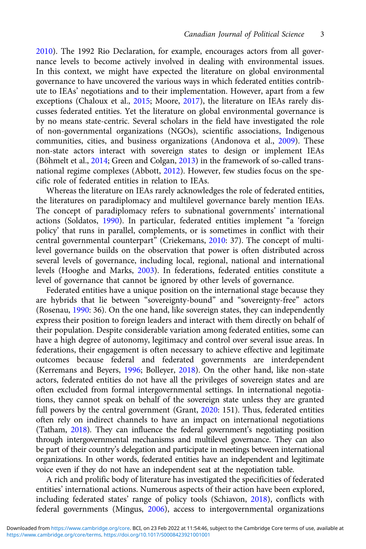[2010](#page-15-0)). The 1992 Rio Declaration, for example, encourages actors from all governance levels to become actively involved in dealing with environmental issues. In this context, we might have expected the literature on global environmental governance to have uncovered the various ways in which federated entities contribute to IEAs' negotiations and to their implementation. However, apart from a few exceptions (Chaloux et al., [2015;](#page-14-0) Moore, [2017\)](#page-15-0), the literature on IEAs rarely discusses federated entities. Yet the literature on global environmental governance is by no means state-centric. Several scholars in the field have investigated the role of non-governmental organizations (NGOs), scientific associations, Indigenous communities, cities, and business organizations (Andonova et al., [2009](#page-13-0)). These non-state actors interact with sovereign states to design or implement IEAs (Böhmelt et al., [2014;](#page-14-0) Green and Colgan, [2013](#page-14-0)) in the framework of so-called transnational regime complexes (Abbott, [2012\)](#page-13-0). However, few studies focus on the specific role of federated entities in relation to IEAs.

Whereas the literature on IEAs rarely acknowledges the role of federated entities, the literatures on paradiplomacy and multilevel governance barely mention IEAs. The concept of paradiplomacy refers to subnational governments' international actions (Soldatos, [1990](#page-15-0)). In particular, federated entities implement "a 'foreign policy' that runs in parallel, complements, or is sometimes in conflict with their central governmental counterpart<sup>"</sup> (Criekemans, [2010:](#page-14-0) 37). The concept of multilevel governance builds on the observation that power is often distributed across several levels of governance, including local, regional, national and international levels (Hooghe and Marks, [2003\)](#page-14-0). In federations, federated entities constitute a level of governance that cannot be ignored by other levels of governance.

Federated entities have a unique position on the international stage because they are hybrids that lie between "sovereignty-bound" and "sovereignty-free" actors (Rosenau, [1990](#page-15-0): 36). On the one hand, like sovereign states, they can independently express their position to foreign leaders and interact with them directly on behalf of their population. Despite considerable variation among federated entities, some can have a high degree of autonomy, legitimacy and control over several issue areas. In federations, their engagement is often necessary to achieve effective and legitimate outcomes because federal and federated governments are interdependent (Kerremans and Beyers, [1996;](#page-14-0) Bolleyer, [2018](#page-14-0)). On the other hand, like non-state actors, federated entities do not have all the privileges of sovereign states and are often excluded from formal intergovernmental settings. In international negotiations, they cannot speak on behalf of the sovereign state unless they are granted full powers by the central government (Grant, [2020:](#page-14-0) 151). Thus, federated entities often rely on indirect channels to have an impact on international negotiations (Tatham, [2018](#page-15-0)). They can influence the federal government's negotiating position through intergovernmental mechanisms and multilevel governance. They can also be part of their country's delegation and participate in meetings between international organizations. In other words, federated entities have an independent and legitimate voice even if they do not have an independent seat at the negotiation table.

A rich and prolific body of literature has investigated the specificities of federated entities' international actions. Numerous aspects of their action have been explored, including federated states' range of policy tools (Schiavon, [2018](#page-15-0)), conflicts with federal governments (Mingus, [2006\)](#page-15-0), access to intergovernmental organizations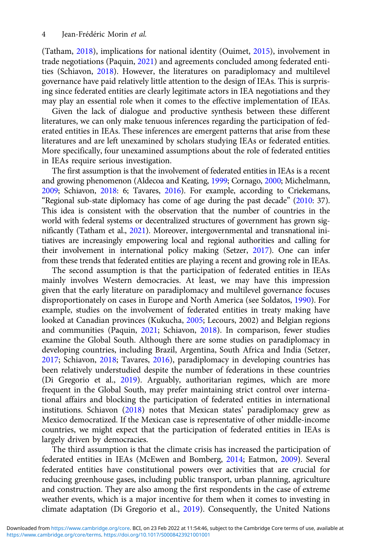(Tatham, [2018\)](#page-15-0), implications for national identity (Ouimet, [2015](#page-15-0)), involvement in trade negotiations (Paquin, [2021\)](#page-15-0) and agreements concluded among federated entities (Schiavon, [2018\)](#page-15-0). However, the literatures on paradiplomacy and multilevel governance have paid relatively little attention to the design of IEAs. This is surprising since federated entities are clearly legitimate actors in IEA negotiations and they may play an essential role when it comes to the effective implementation of IEAs.

Given the lack of dialogue and productive synthesis between these different literatures, we can only make tenuous inferences regarding the participation of federated entities in IEAs. These inferences are emergent patterns that arise from these literatures and are left unexamined by scholars studying IEAs or federated entities. More specifically, four unexamined assumptions about the role of federated entities in IEAs require serious investigation.

The first assumption is that the involvement of federated entities in IEAs is a recent and growing phenomenon (Aldecoa and Keating, [1999](#page-13-0); Cornago, [2000](#page-14-0); Michelmann, [2009](#page-15-0); Schiavon, [2018:](#page-15-0) 6; Tavares, [2016](#page-15-0)). For example, according to Criekemans, "Regional sub-state diplomacy has come of age during the past decade" [\(2010](#page-14-0): 37). This idea is consistent with the observation that the number of countries in the world with federal systems or decentralized structures of government has grown significantly (Tatham et al., [2021\)](#page-15-0). Moreover, intergovernmental and transnational initiatives are increasingly empowering local and regional authorities and calling for their involvement in international policy making (Setzer, [2017](#page-15-0)). One can infer from these trends that federated entities are playing a recent and growing role in IEAs.

The second assumption is that the participation of federated entities in IEAs mainly involves Western democracies. At least, we may have this impression given that the early literature on paradiplomacy and multilevel governance focuses disproportionately on cases in Europe and North America (see Soldatos, [1990\)](#page-15-0). For example, studies on the involvement of federated entities in treaty making have looked at Canadian provinces (Kukucha, [2005](#page-14-0); Lecours, 2002) and Belgian regions and communities (Paquin, [2021;](#page-15-0) Schiavon, [2018\)](#page-15-0). In comparison, fewer studies examine the Global South. Although there are some studies on paradiplomacy in developing countries, including Brazil, Argentina, South Africa and India (Setzer, [2017;](#page-15-0) Schiavon, [2018](#page-15-0); Tavares, [2016](#page-15-0)), paradiplomacy in developing countries has been relatively understudied despite the number of federations in these countries (Di Gregorio et al., [2019\)](#page-14-0). Arguably, authoritarian regimes, which are more frequent in the Global South, may prefer maintaining strict control over international affairs and blocking the participation of federated entities in international institutions. Schiavon ([2018](#page-15-0)) notes that Mexican states' paradiplomacy grew as Mexico democratized. If the Mexican case is representative of other middle-income countries, we might expect that the participation of federated entities in IEAs is largely driven by democracies.

The third assumption is that the climate crisis has increased the participation of federated entities in IEAs (McEwen and Bomberg, [2014;](#page-15-0) Eatmon, [2009](#page-14-0)). Several federated entities have constitutional powers over activities that are crucial for reducing greenhouse gases, including public transport, urban planning, agriculture and construction. They are also among the first respondents in the case of extreme weather events, which is a major incentive for them when it comes to investing in climate adaptation (Di Gregorio et al., [2019\)](#page-14-0). Consequently, the United Nations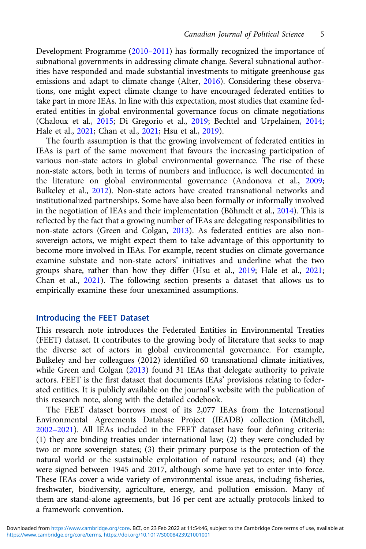Development Programme (2010–[2011\)](#page-15-0) has formally recognized the importance of subnational governments in addressing climate change. Several subnational authorities have responded and made substantial investments to mitigate greenhouse gas emissions and adapt to climate change (Alter, [2016\)](#page-13-0). Considering these observations, one might expect climate change to have encouraged federated entities to take part in more IEAs. In line with this expectation, most studies that examine federated entities in global environmental governance focus on climate negotiations (Chaloux et al., [2015;](#page-14-0) Di Gregorio et al., [2019](#page-14-0); Bechtel and Urpelainen, [2014](#page-14-0); Hale et al., [2021](#page-14-0); Chan et al., [2021](#page-14-0); Hsu et al., [2019](#page-14-0)).

The fourth assumption is that the growing involvement of federated entities in IEAs is part of the same movement that favours the increasing participation of various non-state actors in global environmental governance. The rise of these non-state actors, both in terms of numbers and influence, is well documented in the literature on global environmental governance (Andonova et al., [2009](#page-13-0); Bulkeley et al., [2012\)](#page-14-0). Non-state actors have created transnational networks and institutionalized partnerships. Some have also been formally or informally involved in the negotiation of IEAs and their implementation (Böhmelt et al., [2014](#page-14-0)). This is reflected by the fact that a growing number of IEAs are delegating responsibilities to non-state actors (Green and Colgan, [2013\)](#page-14-0). As federated entities are also nonsovereign actors, we might expect them to take advantage of this opportunity to become more involved in IEAs. For example, recent studies on climate governance examine substate and non-state actors' initiatives and underline what the two groups share, rather than how they differ (Hsu et al., [2019;](#page-14-0) Hale et al., [2021](#page-14-0); Chan et al., [2021](#page-14-0)). The following section presents a dataset that allows us to empirically examine these four unexamined assumptions.

#### Introducing the FEET Dataset

This research note introduces the Federated Entities in Environmental Treaties (FEET) dataset. It contributes to the growing body of literature that seeks to map the diverse set of actors in global environmental governance. For example, Bulkeley and her colleagues (2012) identified 60 transnational climate initiatives, while Green and Colgan [\(2013\)](#page-14-0) found 31 IEAs that delegate authority to private actors. FEET is the first dataset that documents IEAs' provisions relating to federated entities. It is publicly available on the journal's website with the publication of this research note, along with the detailed codebook.

The FEET dataset borrows most of its 2,077 IEAs from the International Environmental Agreements Database Project (IEADB) collection (Mitchell, 2002–[2021\)](#page-15-0). All IEAs included in the FEET dataset have four defining criteria: (1) they are binding treaties under international law; (2) they were concluded by two or more sovereign states; (3) their primary purpose is the protection of the natural world or the sustainable exploitation of natural resources; and (4) they were signed between 1945 and 2017, although some have yet to enter into force. These IEAs cover a wide variety of environmental issue areas, including fisheries, freshwater, biodiversity, agriculture, energy, and pollution emission. Many of them are stand-alone agreements, but 16 per cent are actually protocols linked to a framework convention.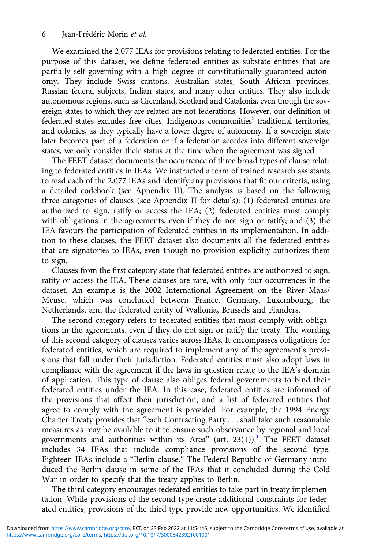We examined the 2,077 IEAs for provisions relating to federated entities. For the purpose of this dataset, we define federated entities as substate entities that are partially self-governing with a high degree of constitutionally guaranteed autonomy. They include Swiss cantons, Australian states, South African provinces, Russian federal subjects, Indian states, and many other entities. They also include autonomous regions, such as Greenland, Scotland and Catalonia, even though the sovereign states to which they are related are not federations. However, our definition of federated states excludes free cities, Indigenous communities' traditional territories, and colonies, as they typically have a lower degree of autonomy. If a sovereign state later becomes part of a federation or if a federation secedes into different sovereign states, we only consider their status at the time when the agreement was signed.

The FEET dataset documents the occurrence of three broad types of clause relating to federated entities in IEAs. We instructed a team of trained research assistants to read each of the 2,077 IEAs and identify any provisions that fit our criteria, using a detailed codebook (see Appendix II). The analysis is based on the following three categories of clauses (see Appendix II for details): (1) federated entities are authorized to sign, ratify or access the IEA; (2) federated entities must comply with obligations in the agreements, even if they do not sign or ratify; and (3) the IEA favours the participation of federated entities in its implementation. In addition to these clauses, the FEET dataset also documents all the federated entities that are signatories to IEAs, even though no provision explicitly authorizes them to sign.

Clauses from the first category state that federated entities are authorized to sign, ratify or access the IEA. These clauses are rare, with only four occurrences in the dataset. An example is the 2002 International Agreement on the River Maas/ Meuse, which was concluded between France, Germany, Luxembourg, the Netherlands, and the federated entity of Wallonia, Brussels and Flanders.

The second category refers to federated entities that must comply with obligations in the agreements, even if they do not sign or ratify the treaty. The wording of this second category of clauses varies across IEAs. It encompasses obligations for federated entities, which are required to implement any of the agreement's provisions that fall under their jurisdiction. Federated entities must also adopt laws in compliance with the agreement if the laws in question relate to the IEA's domain of application. This type of clause also obliges federal governments to bind their federated entities under the IEA. In this case, federated entities are informed of the provisions that affect their jurisdiction, and a list of federated entities that agree to comply with the agreement is provided. For example, the 1994 Energy Charter Treaty provides that "each Contracting Party . . . shall take such reasonable measures as may be available to it to ensure such observance by regional and local governments and authorities within its Area" (art.  $23(1)$  $23(1)$  $23(1)$ ).<sup>1</sup> The FEET dataset includes 34 IEAs that include compliance provisions of the second type. Eighteen IEAs include a "Berlin clause." The Federal Republic of Germany introduced the Berlin clause in some of the IEAs that it concluded during the Cold War in order to specify that the treaty applies to Berlin.

The third category encourages federated entities to take part in treaty implementation. While provisions of the second type create additional constraints for federated entities, provisions of the third type provide new opportunities. We identified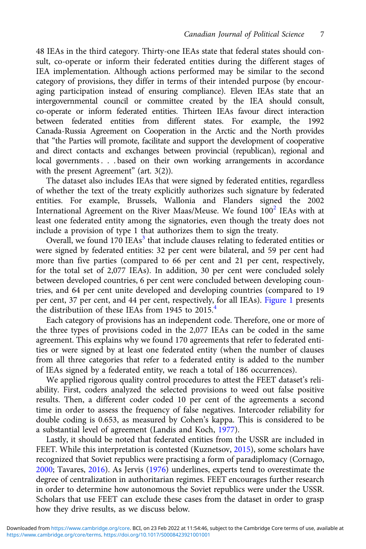48 IEAs in the third category. Thirty-one IEAs state that federal states should consult, co-operate or inform their federated entities during the different stages of IEA implementation. Although actions performed may be similar to the second category of provisions, they differ in terms of their intended purpose (by encouraging participation instead of ensuring compliance). Eleven IEAs state that an intergovernmental council or committee created by the IEA should consult, co-operate or inform federated entities. Thirteen IEAs favour direct interaction between federated entities from different states. For example, the 1992 Canada-Russia Agreement on Cooperation in the Arctic and the North provides that "the Parties will promote, facilitate and support the development of cooperative and direct contacts and exchanges between provincial (republican), regional and local governments . . . based on their own working arrangements in accordance with the present Agreement" (art. 3(2)).

The dataset also includes IEAs that were signed by federated entities, regardless of whether the text of the treaty explicitly authorizes such signature by federated entities. For example, Brussels, Wallonia and Flanders signed the 2002 International Agreement on the River Maas/Meuse. We found  $100<sup>2</sup>$  $100<sup>2</sup>$  $100<sup>2</sup>$  IEAs with at least one federated entity among the signatories, even though the treaty does not include a provision of type 1 that authorizes them to sign the treaty.

Overall, we found  $170$  IEAs<sup>[3](#page-13-0)</sup> that include clauses relating to federated entities or were signed by federated entities: 32 per cent were bilateral, and 59 per cent had more than five parties (compared to 66 per cent and 21 per cent, respectively, for the total set of 2,077 IEAs). In addition, 30 per cent were concluded solely between developed countries, 6 per cent were concluded between developing countries, and 64 per cent unite developed and developing countries (compared to 19 per cent, 37 per cent, and 44 per cent, respectively, for all IEAs). [Figure 1](#page-7-0) presents the distributiion of these IEAs from  $1945$  $1945$  $1945$  to  $2015.<sup>4</sup>$ 

Each category of provisions has an independent code. Therefore, one or more of the three types of provisions coded in the 2,077 IEAs can be coded in the same agreement. This explains why we found 170 agreements that refer to federated entities or were signed by at least one federated entity (when the number of clauses from all three categories that refer to a federated entity is added to the number of IEAs signed by a federated entity, we reach a total of 186 occurrences).

We applied rigorous quality control procedures to attest the FEET dataset's reliability. First, coders analyzed the selected provisions to weed out false positive results. Then, a different coder coded 10 per cent of the agreements a second time in order to assess the frequency of false negatives. Intercoder reliability for double coding is 0.653, as measured by Cohen's kappa. This is considered to be a substantial level of agreement (Landis and Koch, [1977\)](#page-15-0).

Lastly, it should be noted that federated entities from the USSR are included in FEET. While this interpretation is contested (Kuznetsov, [2015\)](#page-15-0), some scholars have recognized that Soviet republics were practising a form of paradiplomacy (Cornago, [2000](#page-14-0); Tavares, [2016\)](#page-15-0). As Jervis ([1976\)](#page-14-0) underlines, experts tend to overestimate the degree of centralization in authoritarian regimes. FEET encourages further research in order to determine how autonomous the Soviet republics were under the USSR. Scholars that use FEET can exclude these cases from the dataset in order to grasp how they drive results, as we discuss below.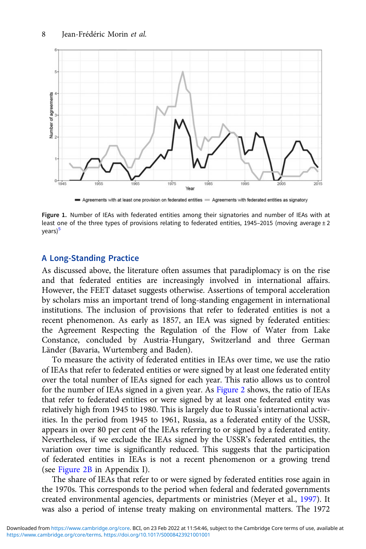<span id="page-7-0"></span>

Agreements with at least one provision on federated entities = Agreements with federated entities as signatory

Figure 1. Number of IEAs with federated entities among their signatories and number of IEAs with at least one of the three types of provisions relating to federated entities, 1945–2015 (moving average  $\pm 2$ years)<sup>[5](#page-13-0)</sup>

#### A Long-Standing Practice

As discussed above, the literature often assumes that paradiplomacy is on the rise and that federated entities are increasingly involved in international affairs. However, the FEET dataset suggests otherwise. Assertions of temporal acceleration by scholars miss an important trend of long-standing engagement in international institutions. The inclusion of provisions that refer to federated entities is not a recent phenomenon. As early as 1857, an IEA was signed by federated entities: the Agreement Respecting the Regulation of the Flow of Water from Lake Constance, concluded by Austria-Hungary, Switzerland and three German Länder (Bavaria, Wurtemberg and Baden).

To measure the activity of federated entities in IEAs over time, we use the ratio of IEAs that refer to federated entities or were signed by at least one federated entity over the total number of IEAs signed for each year. This ratio allows us to control for the number of IEAs signed in a given year. As [Figure 2](#page-8-0) shows, the ratio of IEAs that refer to federated entities or were signed by at least one federated entity was relatively high from 1945 to 1980. This is largely due to Russia's international activities. In the period from 1945 to 1961, Russia, as a federated entity of the USSR, appears in over 80 per cent of the IEAs referring to or signed by a federated entity. Nevertheless, if we exclude the IEAs signed by the USSR's federated entities, the variation over time is significantly reduced. This suggests that the participation of federated entities in IEAs is not a recent phenomenon or a growing trend (see [Figure 2B](#page-8-0) in Appendix I).

The share of IEAs that refer to or were signed by federated entities rose again in the 1970s. This corresponds to the period when federal and federated governments created environmental agencies, departments or ministries (Meyer et al., [1997\)](#page-15-0). It was also a period of intense treaty making on environmental matters. The 1972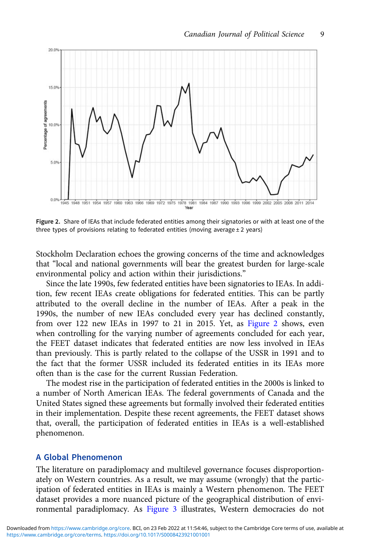<span id="page-8-0"></span>

Figure 2. Share of IEAs that include federated entities among their signatories or with at least one of the three types of provisions relating to federated entities (moving average  $\pm 2$  years)

Stockholm Declaration echoes the growing concerns of the time and acknowledges that "local and national governments will bear the greatest burden for large-scale environmental policy and action within their jurisdictions."

Since the late 1990s, few federated entities have been signatories to IEAs. In addition, few recent IEAs create obligations for federated entities. This can be partly attributed to the overall decline in the number of IEAs. After a peak in the 1990s, the number of new IEAs concluded every year has declined constantly, from over 122 new IEAs in 1997 to 21 in 2015. Yet, as Figure 2 shows, even when controlling for the varying number of agreements concluded for each year, the FEET dataset indicates that federated entities are now less involved in IEAs than previously. This is partly related to the collapse of the USSR in 1991 and to the fact that the former USSR included its federated entities in its IEAs more often than is the case for the current Russian Federation.

The modest rise in the participation of federated entities in the 2000s is linked to a number of North American IEAs. The federal governments of Canada and the United States signed these agreements but formally involved their federated entities in their implementation. Despite these recent agreements, the FEET dataset shows that, overall, the participation of federated entities in IEAs is a well-established phenomenon.

#### A Global Phenomenon

The literature on paradiplomacy and multilevel governance focuses disproportionately on Western countries. As a result, we may assume (wrongly) that the participation of federated entities in IEAs is mainly a Western phenomenon. The FEET dataset provides a more nuanced picture of the geographical distribution of environmental paradiplomacy. As [Figure 3](#page-9-0) illustrates, Western democracies do not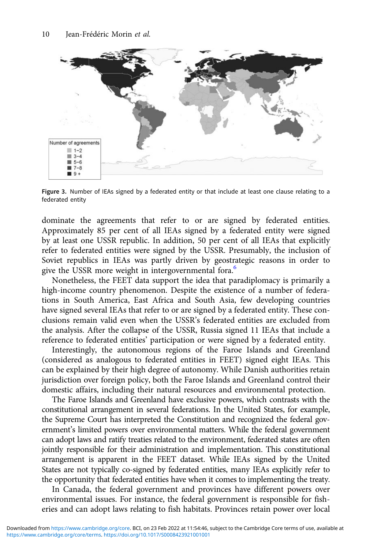<span id="page-9-0"></span>

Figure 3. Number of IEAs signed by a federated entity or that include at least one clause relating to a federated entity

dominate the agreements that refer to or are signed by federated entities. Approximately 85 per cent of all IEAs signed by a federated entity were signed by at least one USSR republic. In addition, 50 per cent of all IEAs that explicitly refer to federated entities were signed by the USSR. Presumably, the inclusion of Soviet republics in IEAs was partly driven by geostrategic reasons in order to give the USSR more weight in intergovernmental fora.<sup>6</sup>

Nonetheless, the FEET data support the idea that paradiplomacy is primarily a high-income country phenomenon. Despite the existence of a number of federations in South America, East Africa and South Asia, few developing countries have signed several IEAs that refer to or are signed by a federated entity. These conclusions remain valid even when the USSR's federated entities are excluded from the analysis. After the collapse of the USSR, Russia signed 11 IEAs that include a reference to federated entities' participation or were signed by a federated entity.

Interestingly, the autonomous regions of the Faroe Islands and Greenland (considered as analogous to federated entities in FEET) signed eight IEAs. This can be explained by their high degree of autonomy. While Danish authorities retain jurisdiction over foreign policy, both the Faroe Islands and Greenland control their domestic affairs, including their natural resources and environmental protection.

The Faroe Islands and Greenland have exclusive powers, which contrasts with the constitutional arrangement in several federations. In the United States, for example, the Supreme Court has interpreted the Constitution and recognized the federal government's limited powers over environmental matters. While the federal government can adopt laws and ratify treaties related to the environment, federated states are often jointly responsible for their administration and implementation. This constitutional arrangement is apparent in the FEET dataset. While IEAs signed by the United States are not typically co-signed by federated entities, many IEAs explicitly refer to the opportunity that federated entities have when it comes to implementing the treaty.

In Canada, the federal government and provinces have different powers over environmental issues. For instance, the federal government is responsible for fisheries and can adopt laws relating to fish habitats. Provinces retain power over local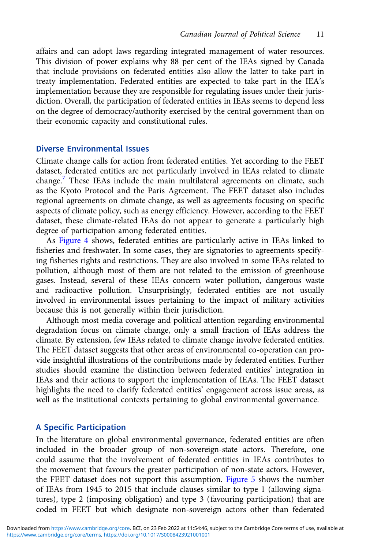affairs and can adopt laws regarding integrated management of water resources. This division of power explains why 88 per cent of the IEAs signed by Canada that include provisions on federated entities also allow the latter to take part in treaty implementation. Federated entities are expected to take part in the IEA's implementation because they are responsible for regulating issues under their jurisdiction. Overall, the participation of federated entities in IEAs seems to depend less on the degree of democracy/authority exercised by the central government than on their economic capacity and constitutional rules.

#### Diverse Environmental Issues

Climate change calls for action from federated entities. Yet according to the FEET dataset, federated entities are not particularly involved in IEAs related to climate change.<sup>[7](#page-13-0)</sup> These IEAs include the main multilateral agreements on climate, such as the Kyoto Protocol and the Paris Agreement. The FEET dataset also includes regional agreements on climate change, as well as agreements focusing on specific aspects of climate policy, such as energy efficiency. However, according to the FEET dataset, these climate-related IEAs do not appear to generate a particularly high degree of participation among federated entities.

As [Figure 4](#page-11-0) shows, federated entities are particularly active in IEAs linked to fisheries and freshwater. In some cases, they are signatories to agreements specifying fisheries rights and restrictions. They are also involved in some IEAs related to pollution, although most of them are not related to the emission of greenhouse gases. Instead, several of these IEAs concern water pollution, dangerous waste and radioactive pollution. Unsurprisingly, federated entities are not usually involved in environmental issues pertaining to the impact of military activities because this is not generally within their jurisdiction.

Although most media coverage and political attention regarding environmental degradation focus on climate change, only a small fraction of IEAs address the climate. By extension, few IEAs related to climate change involve federated entities. The FEET dataset suggests that other areas of environmental co-operation can provide insightful illustrations of the contributions made by federated entities. Further studies should examine the distinction between federated entities' integration in IEAs and their actions to support the implementation of IEAs. The FEET dataset highlights the need to clarify federated entities' engagement across issue areas, as well as the institutional contexts pertaining to global environmental governance.

#### A Specific Participation

In the literature on global environmental governance, federated entities are often included in the broader group of non-sovereign-state actors. Therefore, one could assume that the involvement of federated entities in IEAs contributes to the movement that favours the greater participation of non-state actors. However, the FEET dataset does not support this assumption. [Figure 5](#page-11-0) shows the number of IEAs from 1945 to 2015 that include clauses similar to type 1 (allowing signatures), type 2 (imposing obligation) and type 3 (favouring participation) that are coded in FEET but which designate non-sovereign actors other than federated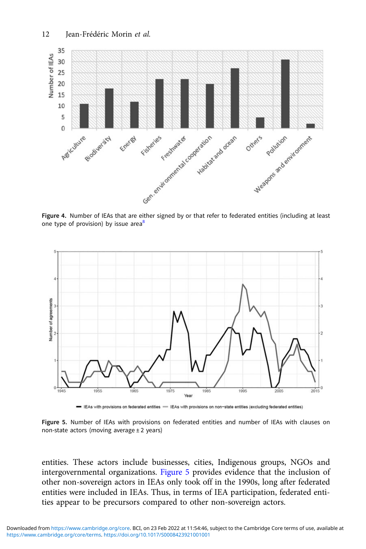<span id="page-11-0"></span>

one type of provision) by issue area $8$ 



- IEAs with provisions on federated entities - IEAs with provisions on non-state entities (excluding federated entities)

Figure 5. Number of IEAs with provisions on federated entities and number of IEAs with clauses on non-state actors (moving average  $\pm 2$  years)

entities. These actors include businesses, cities, Indigenous groups, NGOs and intergovernmental organizations. Figure 5 provides evidence that the inclusion of other non-sovereign actors in IEAs only took off in the 1990s, long after federated entities were included in IEAs. Thus, in terms of IEA participation, federated entities appear to be precursors compared to other non-sovereign actors.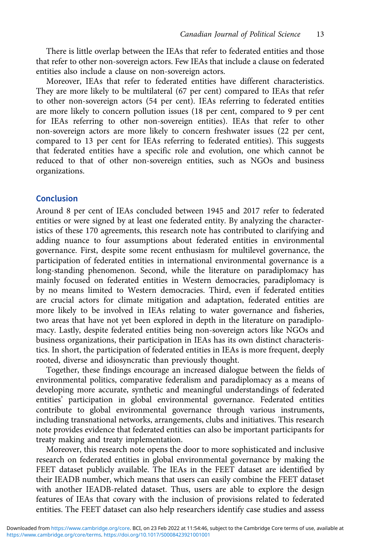There is little overlap between the IEAs that refer to federated entities and those that refer to other non-sovereign actors. Few IEAs that include a clause on federated entities also include a clause on non-sovereign actors.

Moreover, IEAs that refer to federated entities have different characteristics. They are more likely to be multilateral (67 per cent) compared to IEAs that refer to other non-sovereign actors (54 per cent). IEAs referring to federated entities are more likely to concern pollution issues (18 per cent, compared to 9 per cent for IEAs referring to other non-sovereign entities). IEAs that refer to other non-sovereign actors are more likely to concern freshwater issues (22 per cent, compared to 13 per cent for IEAs referring to federated entities). This suggests that federated entities have a specific role and evolution, one which cannot be reduced to that of other non-sovereign entities, such as NGOs and business organizations.

## Conclusion

Around 8 per cent of IEAs concluded between 1945 and 2017 refer to federated entities or were signed by at least one federated entity. By analyzing the characteristics of these 170 agreements, this research note has contributed to clarifying and adding nuance to four assumptions about federated entities in environmental governance. First, despite some recent enthusiasm for multilevel governance, the participation of federated entities in international environmental governance is a long-standing phenomenon. Second, while the literature on paradiplomacy has mainly focused on federated entities in Western democracies, paradiplomacy is by no means limited to Western democracies. Third, even if federated entities are crucial actors for climate mitigation and adaptation, federated entities are more likely to be involved in IEAs relating to water governance and fisheries, two areas that have not yet been explored in depth in the literature on paradiplomacy. Lastly, despite federated entities being non-sovereign actors like NGOs and business organizations, their participation in IEAs has its own distinct characteristics. In short, the participation of federated entities in IEAs is more frequent, deeply rooted, diverse and idiosyncratic than previously thought.

Together, these findings encourage an increased dialogue between the fields of environmental politics, comparative federalism and paradiplomacy as a means of developing more accurate, synthetic and meaningful understandings of federated entities' participation in global environmental governance. Federated entities contribute to global environmental governance through various instruments, including transnational networks, arrangements, clubs and initiatives. This research note provides evidence that federated entities can also be important participants for treaty making and treaty implementation.

Moreover, this research note opens the door to more sophisticated and inclusive research on federated entities in global environmental governance by making the FEET dataset publicly available. The IEAs in the FEET dataset are identified by their IEADB number, which means that users can easily combine the FEET dataset with another IEADB-related dataset. Thus, users are able to explore the design features of IEAs that covary with the inclusion of provisions related to federated entities. The FEET dataset can also help researchers identify case studies and assess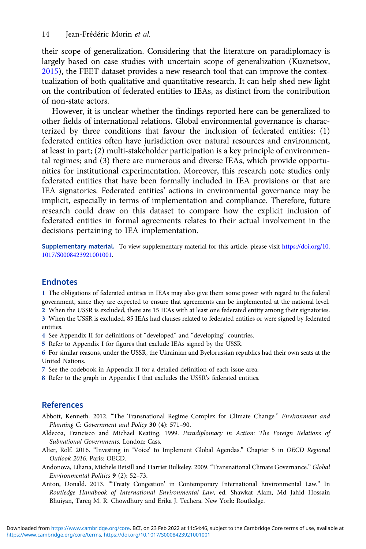<span id="page-13-0"></span>their scope of generalization. Considering that the literature on paradiplomacy is largely based on case studies with uncertain scope of generalization (Kuznetsov, [2015\)](#page-15-0), the FEET dataset provides a new research tool that can improve the contextualization of both qualitative and quantitative research. It can help shed new light on the contribution of federated entities to IEAs, as distinct from the contribution of non-state actors.

However, it is unclear whether the findings reported here can be generalized to other fields of international relations. Global environmental governance is characterized by three conditions that favour the inclusion of federated entities: (1) federated entities often have jurisdiction over natural resources and environment, at least in part; (2) multi-stakeholder participation is a key principle of environmental regimes; and (3) there are numerous and diverse IEAs, which provide opportunities for institutional experimentation. Moreover, this research note studies only federated entities that have been formally included in IEA provisions or that are IEA signatories. Federated entities' actions in environmental governance may be implicit, especially in terms of implementation and compliance. Therefore, future research could draw on this dataset to compare how the explicit inclusion of federated entities in formal agreements relates to their actual involvement in the decisions pertaining to IEA implementation.

Supplementary material. To view supplementary material for this article, please visit [https://doi.org/10.](https://doi.org/10.1017/S0008423921001001) [1017/S0008423921001001.](https://doi.org/10.1017/S0008423921001001)

# Endnotes

1 The obligations of federated entities in IEAs may also give them some power with regard to the federal government, since they are expected to ensure that agreements can be implemented at the national level.

2 When the USSR is excluded, there are 15 IEAs with at least one federated entity among their signatories. 3 When the USSR is excluded, 85 IEAs had clauses related to federated entities or were signed by federated entities.

- 4 See Appendix II for definitions of "developed" and "developing" countries.
- 5 Refer to Appendix I for figures that exclude IEAs signed by the USSR.
- 6 For similar reasons, under the USSR, the Ukrainian and Byelorussian republics had their own seats at the United Nations.
- 7 See the codebook in Appendix II for a detailed definition of each issue area.
- 8 Refer to the graph in Appendix I that excludes the USSR's federated entities.

# **References**

- Abbott, Kenneth. 2012. "The Transnational Regime Complex for Climate Change." Environment and Planning C: Government and Policy 30 (4): 571–90.
- Aldecoa, Francisco and Michael Keating. 1999. Paradiplomacy in Action: The Foreign Relations of Subnational Governments. London: Cass.
- Alter, Rolf. 2016. "Investing in 'Voice' to Implement Global Agendas." Chapter 5 in OECD Regional Outlook 2016. Paris: OECD.
- Andonova, Liliana, Michele Betsill and Harriet Bulkeley. 2009. "Transnational Climate Governance." Global Environmental Politics 9 (2): 52–73.
- Anton, Donald. 2013. "'Treaty Congestion' in Contemporary International Environmental Law." In Routledge Handbook of International Environmental Law, ed. Shawkat Alam, Md Jahid Hossain Bhuiyan, Tareq M. R. Chowdhury and Erika J. Techera. New York: Routledge.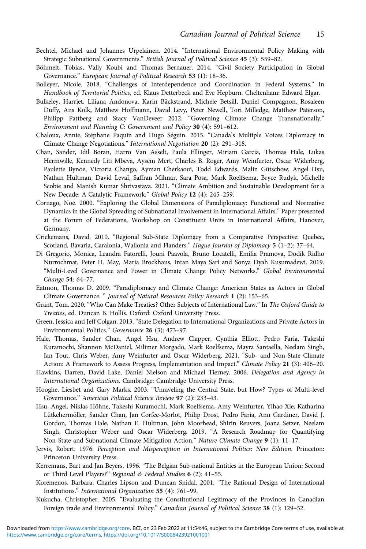- <span id="page-14-0"></span>Bechtel, Michael and Johannes Urpelainen. 2014. "International Environmental Policy Making with Strategic Subnational Governments." British Journal of Political Science 45 (3): 559–82.
- Böhmelt, Tobias, Vally Koubi and Thomas Bernauer. 2014. "Civil Society Participation in Global Governance." European Journal of Political Research 53 (1): 18–36.
- Bolleyer, Nicole. 2018. "Challenges of Interdependence and Coordination in Federal Systems." In Handbook of Territorial Politics, ed. Klaus Detterbeck and Eve Hepburn. Cheltenham: Edward Elgar.
- Bulkeley, Harriet, Liliana Andonova, Karin Bäckstrand, Michele Betsill, Daniel Compagnon, Rosaleen Duffy, Ans Kolk, Matthew Hoffmann, David Levy, Peter Newell, Tori Milledge, Matthew Paterson, Philipp Pattberg and Stacy VanDeveer 2012. "Governing Climate Change Transnationally." Environment and Planning C: Government and Policy 30 (4): 591–612.
- Chaloux, Annie, Stéphane Paquin and Hugo Séguin. 2015. "Canada's Multiple Voices Diplomacy in Climate Change Negotiations." International Negotiation 20 (2): 291–318.
- Chan, Sander, Idil Boran, Harro Van Asselt, Paula Ellinger, Miriam Garcia, Thomas Hale, Lukas Hermwille, Kennedy Liti Mbeva, Aysem Mert, Charles B. Roger, Amy Weinfurter, Oscar Widerberg, Paulette Bynoe, Victoria Chango, Ayman Cherkaoui, Todd Edwards, Malin Gütschow, Angel Hsu, Nathan Hultman, David Levaï, Saffran Mihnar, Sara Posa, Mark Roelfsema, Bryce Rudyk, Michelle Scobie and Manish Kumar Shrivastava. 2021. "Climate Ambition and Sustainable Development for a New Decade: A Catalytic Framework." Global Policy 12 (4): 245–259.
- Cornago, Noé. 2000. "Exploring the Global Dimensions of Paradiplomacy: Functional and Normative Dynamics in the Global Spreading of Subnational Involvement in International Affairs." Paper presented at the Forum of Federations, Workshop on Constituent Units in International Affairs, Hanover, Germany.
- Criekemans, David. 2010. "Regional Sub-State Diplomacy from a Comparative Perspective: Quebec, Scotland, Bavaria, Caralonia, Wallonia and Flanders." Hague Journal of Diplomacy 5 (1-2): 37-64.
- Di Gregorio, Monica, Leandra Fatorelli, Jouni Paavola, Bruno Locatelli, Emilia Pramova, Dodik Ridho Nurrochmat, Peter H. May, Maria Brockhaus, Intan Maya Sari and Sonya Dyah Kusumadewi. 2019. "Multi-Level Governance and Power in Climate Change Policy Networks." Global Environmental Change 54: 64–77.
- Eatmon, Thomas D. 2009. "Paradiplomacy and Climate Change: American States as Actors in Global Climate Governance. " Journal of Natural Resources Policy Research 1 (2): 153–65.
- Grant, Tom. 2020. "Who Can Make Treaties? Other Subjects of International Law." In The Oxford Guide to Treaties, ed. Duncan B. Hollis. Oxford: Oxford University Press.
- Green, Jessica and Jeff Colgan. 2013. "State Delegation to International Organizations and Private Actors in Environmental Politics." Governance 26 (3): 473–97.
- Hale, Thomas, Sander Chan, Angel Hsu, Andrew Clapper, Cynthia Elliott, Pedro Faria, Takeshi Kuramochi, Shannon McDaniel, Milimer Morgado, Mark Roelfsema, Mayra Santaella, Neelam Singh, Ian Tout, Chris Weber, Amy Weinfurter and Oscar Widerberg. 2021. "Sub- and Non-State Climate Action: A Framework to Assess Progress, Implementation and Impact." Climate Policy 21 (3): 406–20.
- Hawkins, Darren, David Lake, Daniel Nielson and Michael Tierney. 2006. Delegation and Agency in International Organizations. Cambridge: Cambridge University Press.
- Hooghe, Liesbet and Gary Marks. 2003. "Unraveling the Central State, but How? Types of Multi-level Governance." American Political Science Review 97 (2): 233–43.
- Hsu, Angel, Niklas Höhne, Takeshi Kuramochi, Mark Roelfsema, Amy Weinfurter, Yihao Xie, Katharina Lütkehermöller, Sander Chan, Jan Corfee-Morlot, Philip Drost, Pedro Faria, Ann Gardiner, David J. Gordon, Thomas Hale, Nathan E. Hultman, John Moorhead, Shirin Reuvers, Joana Setzer, Neelam Singh, Christopher Weber and Oscar Widerberg. 2019. "A Research Roadmap for Quantifying Non-State and Subnational Climate Mitigation Action." Nature Climate Change 9 (1): 11-17.
- Jervis, Robert. 1976. Perception and Misperception in International Politics: New Edition. Princeton: Princeton University Press.
- Kerremans, Bart and Jan Beyers. 1996. "The Belgian Sub-national Entities in the European Union: Second or Third Level Players?" Regional & Federal Studies 6 (2): 41-55.
- Koremenos, Barbara, Charles Lipson and Duncan Snidal. 2001. "The Rational Design of International Institutions." International Organization 55 (4): 761–99.
- Kukucha, Christopher. 2005. "Evaluating the Constitutional Legitimacy of the Provinces in Canadian Foreign trade and Environmental Policy." Canadian Journal of Political Science 38 (1): 129–52.